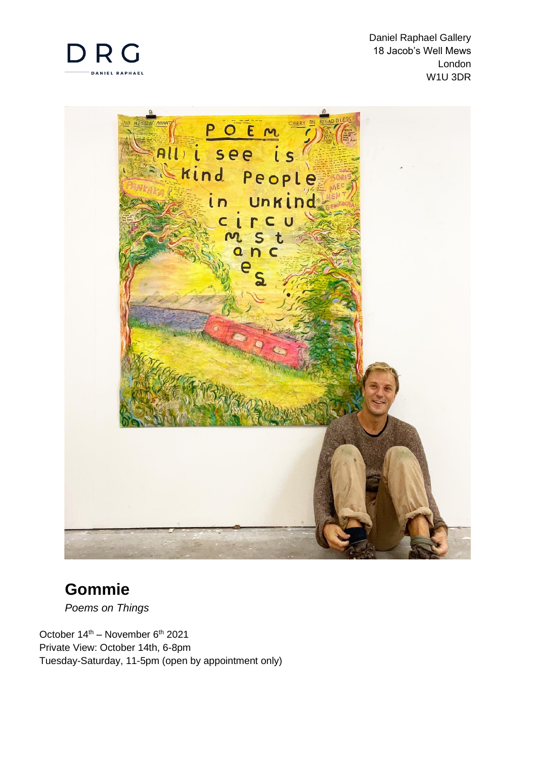

 Daniel Raphael Gallery 18 Jacob's Well Mews London W1U 3DR



# **Gommie**

*Poems on Things*

October 14<sup>th</sup> – November 6<sup>th</sup> 2021 Private View: October 14th, 6-8pm Tuesday-Saturday, 11-5pm (open by appointment only)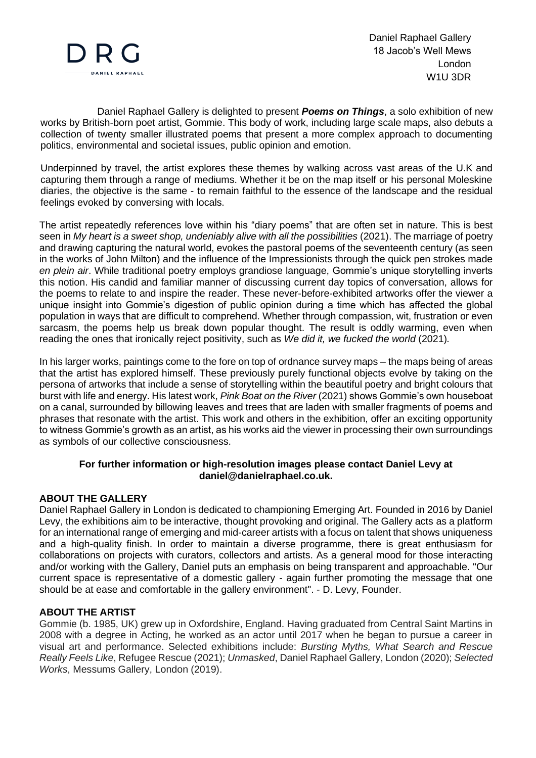

Daniel Raphael Gallery is delighted to present *Poems on Things*, a solo exhibition of new works by British-born poet artist, Gommie. This body of work, including large scale maps, also debuts a collection of twenty smaller illustrated poems that present a more complex approach to documenting politics, environmental and societal issues, public opinion and emotion.

Underpinned by travel, the artist explores these themes by walking across vast areas of the U.K and capturing them through a range of mediums. Whether it be on the map itself or his personal Moleskine diaries, the objective is the same - to remain faithful to the essence of the landscape and the residual feelings evoked by conversing with locals.

The artist repeatedly references love within his "diary poems" that are often set in nature. This is best seen in *My heart is a sweet shop, undeniably alive with all the possibilities* (2021). The marriage of poetry and drawing capturing the natural world, evokes the pastoral poems of the seventeenth century (as seen in the works of John Milton) and the influence of the Impressionists through the quick pen strokes made *en plein air*. While traditional poetry employs grandiose language, Gommie's unique storytelling inverts this notion. His candid and familiar manner of discussing current day topics of conversation, allows for the poems to relate to and inspire the reader. These never-before-exhibited artworks offer the viewer a unique insight into Gommie's digestion of public opinion during a time which has affected the global population in ways that are difficult to comprehend. Whether through compassion, wit, frustration or even sarcasm, the poems help us break down popular thought. The result is oddly warming, even when reading the ones that ironically reject positivity, such as *We did it, we fucked the world* (2021)*.*

In his larger works, paintings come to the fore on top of ordnance survey maps – the maps being of areas that the artist has explored himself. These previously purely functional objects evolve by taking on the persona of artworks that include a sense of storytelling within the beautiful poetry and bright colours that burst with life and energy. His latest work, *Pink Boat on the River* (2021) shows Gommie's own houseboat on a canal, surrounded by billowing leaves and trees that are laden with smaller fragments of poems and phrases that resonate with the artist. This work and others in the exhibition, offer an exciting opportunity to witness Gommie's growth as an artist, as his works aid the viewer in processing their own surroundings as symbols of our collective consciousness.

## **For further information or high-resolution images please contact Daniel Levy at daniel@danielraphael.co.uk.**

## **ABOUT THE GALLERY**

Daniel Raphael Gallery in London is dedicated to championing Emerging Art. Founded in 2016 by Daniel Levy, the exhibitions aim to be interactive, thought provoking and original. The Gallery acts as a platform for an international range of emerging and mid-career artists with a focus on talent that shows uniqueness and a high-quality finish. In order to maintain a diverse programme, there is great enthusiasm for collaborations on projects with curators, collectors and artists. As a general mood for those interacting and/or working with the Gallery, Daniel puts an emphasis on being transparent and approachable. "Our current space is representative of a domestic gallery - again further promoting the message that one should be at ease and comfortable in the gallery environment". - D. Levy, Founder.

## **ABOUT THE ARTIST**

Gommie (b. 1985, UK) grew up in Oxfordshire, England. Having graduated from Central Saint Martins in 2008 with a degree in Acting, he worked as an actor until 2017 when he began to pursue a career in visual art and performance. Selected exhibitions include: *Bursting Myths, What Search and Rescue Really Feels Like*, Refugee Rescue (2021); *Unmasked*, Daniel Raphael Gallery, London (2020); *Selected Works*, Messums Gallery, London (2019).